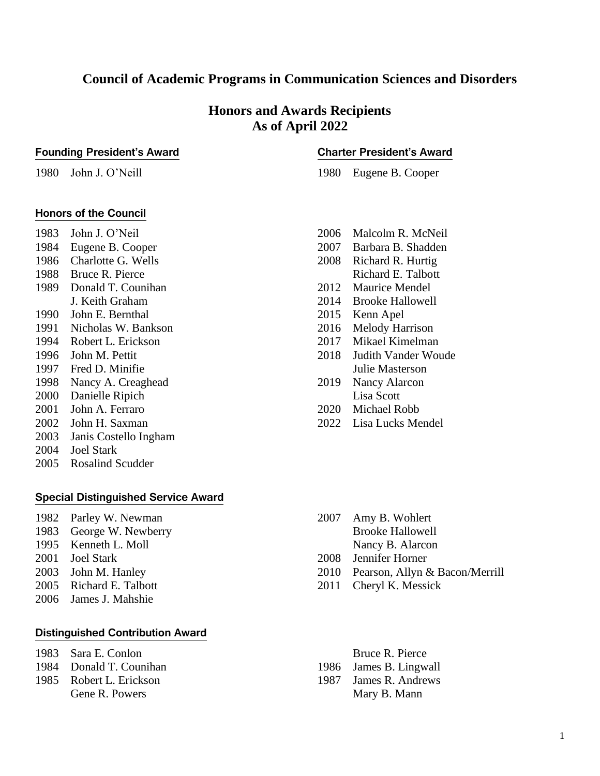# **Council of Academic Programs in Communication Sciences and Disorders**

# **Honors and Awards Recipients As of April 2022**

#### **Founding President's Award**

1980 John J. O'Neill

# **Charter President's Award**

1980 Eugene B. Cooper

## **Honors of the Council**

1983 John J. O'Neil

- 1984 Eugene B. Cooper 1986 Charlotte G. Wells
- 1988 Bruce R. Pierce
- 1989 Donald T. Counihan
- J. Keith Graham
- 1990 John E. Bernthal
- 1991 Nicholas W. Bankson
- 1994 Robert L. Erickson
- 1996 John M. Pettit
- 1997 Fred D. Minifie
- 1998 Nancy A. Creaghead
- 2000 Danielle Ripich
- 2001 John A. Ferraro
- 2002 John H. Saxman
- 2003 Janis Costello Ingham
- 2004 Joel Stark
- 2005 Rosalind Scudder

## **Special Distinguished Service Award**

- 1982 Parley W. Newman
- 1983 George W. Newberry
- 1995 Kenneth L. Moll
- 2001 Joel Stark
- 2003 John M. Hanley
- 2005 Richard E. Talbott
- 2006 James J. Mahshie

### **Distinguished Contribution Award**

- 1983 Sara E. Conlon
- 1984 Donald T. Counihan
- 1985 Robert L. Erickson Gene R. Powers
- 2006 Malcolm R. McNeil 2007 Barbara B. Shadden 2008 Richard R. Hurtig Richard E. Talbott 2012 Maurice Mendel 2014 Brooke Hallowell 2015 Kenn Apel 2016 Melody Harrison 2017 Mikael Kimelman
- 2018 Judith Vander Woude Julie Masterson
- 2019 Nancy Alarcon Lisa Scott
- 2020 Michael Robb
- 2022 Lisa Lucks Mendel

- 2007 Amy B. Wohlert Brooke Hallowell Nancy B. Alarcon
- 2008 Jennifer Horner
- 2010 Pearson, Allyn & Bacon/Merrill
- 2011 Cheryl K. Messick
	- Bruce R. Pierce
- 1986 James B. Lingwall
- 1987 James R. Andrews Mary B. Mann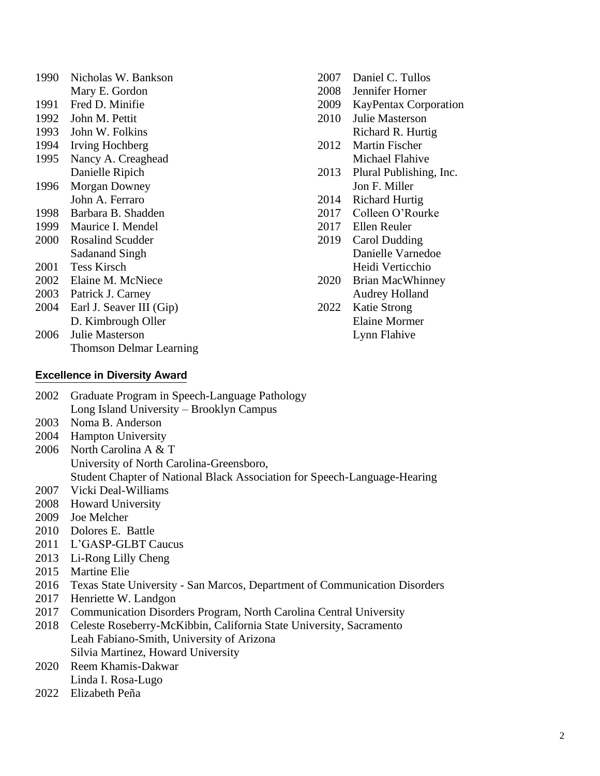| 1990 | Nicholas W. Bankson            |
|------|--------------------------------|
|      | Mary E. Gordon                 |
| 1991 | Fred D. Minifie                |
| 1992 | John M. Pettit                 |
| 1993 | John W. Folkins                |
| 1994 | Irving Hochberg                |
| 1995 | Nancy A. Creaghead             |
|      | Danielle Ripich                |
| 1996 | <b>Morgan Downey</b>           |
|      | John A. Ferraro                |
| 1998 | Barbara B. Shadden             |
| 1999 | Maurice I. Mendel              |
| 2000 | Rosalind Scudder               |
|      | <b>Sadanand Singh</b>          |
| 2001 | <b>Tess Kirsch</b>             |
| 2002 | Elaine M. McNiece              |
| 2003 | Patrick J. Carney              |
| 2004 | Earl J. Seaver III (Gip)       |
|      | D. Kimbrough Oller             |
| 2006 | Julie Masterson                |
|      | <b>Thomson Delmar Learning</b> |

#### Daniel C. Tullos

- Jennifer Horner
- KayPentax Corporation
- Julie Masterson Richard R. Hurtig
- Martin Fischer Michael Flahive
- 2013 Plural Publishing, Inc. Jon F. Miller
- Richard Hurtig
- Colleen O'Rourke
- Ellen Reuler
- Carol Dudding Danielle Varnedoe Heidi Verticchio
- Brian MacWhinney Audrey Holland
- Katie Strong Elaine Mormer Lynn Flahive

### **Excellence in Diversity Award**

- Graduate Program in Speech-Language Pathology Long Island University – Brooklyn Campus Noma B. Anderson Hampton University North Carolina A & T University of North Carolina-Greensboro, Student Chapter of National Black Association for Speech-Language-Hearing Vicki Deal-Williams Howard University Joe Melcher Dolores E. Battle 2011 L'GASP-GLBT Caucus Li-Rong Lilly Cheng Martine Elie 2016 Texas State University - San Marcos, Department of Communication Disorders Henriette W. Landgon Communication Disorders Program, North Carolina Central University Celeste Roseberry-McKibbin, California State University, Sacramento Leah Fabiano-Smith, University of Arizona Silvia Martinez, Howard University
- Reem Khamis-Dakwar Linda I. Rosa-Lugo
- Elizabeth Peña